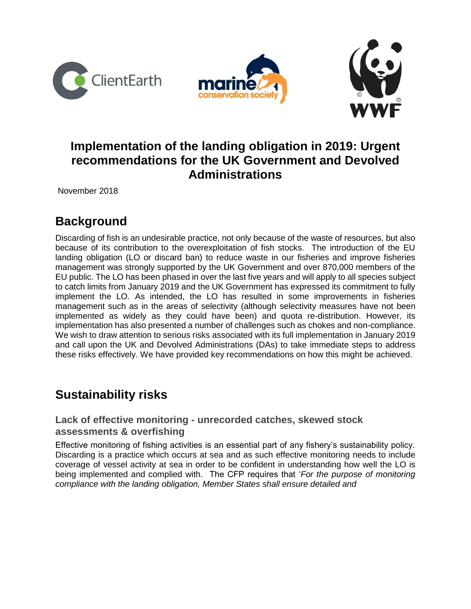





# **Implementation of the landing obligation in 2019: Urgent recommendations for the UK Government and Devolved Administrations**

November 2018

# **Background**

Discarding of fish is an undesirable practice, not only because of the waste of resources, but also because of its contribution to the overexploitation of fish stocks. The introduction of the EU landing obligation (LO or discard ban) to reduce waste in our fisheries and improve fisheries management was strongly supported by the UK Government and over 870,000 members of the EU public. The LO has been phased in over the last five years and will apply to all species subject to catch limits from January 2019 and the UK Government has expressed its commitment to fully implement the LO. As intended, the LO has resulted in some improvements in fisheries management such as in the areas of selectivity (although selectivity measures have not been implemented as widely as they could have been) and quota re-distribution. However, its implementation has also presented a number of challenges such as chokes and non-compliance. We wish to draw attention to serious risks associated with its full implementation in January 2019 and call upon the UK and Devolved Administrations (DAs) to take immediate steps to address these risks effectively. We have provided key recommendations on how this might be achieved.

# **Sustainability risks**

## **Lack of effective monitoring - unrecorded catches, skewed stock assessments & overfishing**

Effective monitoring of fishing activities is an essential part of any fishery's sustainability policy. Discarding is a practice which occurs at sea and as such effective monitoring needs to include coverage of vessel activity at sea in order to be confident in understanding how well the LO is being implemented and complied with. The CFP requires that '*For the purpose of monitoring compliance with the landing obligation, Member States shall ensure detailed and*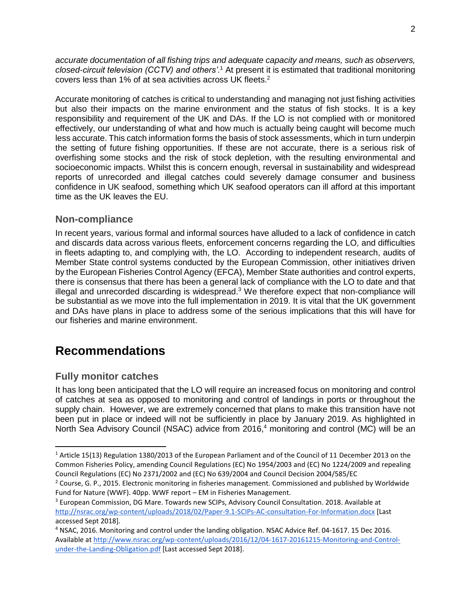*accurate documentation of all fishing trips and adequate capacity and means, such as observers, closed-circuit television (CCTV) and others'*. <sup>1</sup> At present it is estimated that traditional monitoring covers less than 1% of at sea activities across UK fleets. 2

Accurate monitoring of catches is critical to understanding and managing not just fishing activities but also their impacts on the marine environment and the status of fish stocks. It is a key responsibility and requirement of the UK and DAs. If the LO is not complied with or monitored effectively, our understanding of what and how much is actually being caught will become much less accurate. This catch information forms the basis of stock assessments, which in turn underpin the setting of future fishing opportunities. If these are not accurate, there is a serious risk of overfishing some stocks and the risk of stock depletion, with the resulting environmental and socioeconomic impacts. Whilst this is concern enough, reversal in sustainability and widespread reports of unrecorded and illegal catches could severely damage consumer and business confidence in UK seafood, something which UK seafood operators can ill afford at this important time as the UK leaves the EU.

### **Non-compliance**

In recent years, various formal and informal sources have alluded to a lack of confidence in catch and discards data across various fleets, enforcement concerns regarding the LO, and difficulties in fleets adapting to, and complying with, the LO. According to independent research, audits of Member State control systems conducted by the European Commission, other initiatives driven by the European Fisheries Control Agency (EFCA), Member State authorities and control experts, there is consensus that there has been a general lack of compliance with the LO to date and that illegal and unrecorded discarding is widespread. $3$  We therefore expect that non-compliance will be substantial as we move into the full implementation in 2019. It is vital that the UK government and DAs have plans in place to address some of the serious implications that this will have for our fisheries and marine environment.

# **Recommendations**

## **Fully monitor catches**

 $\overline{a}$ 

It has long been anticipated that the LO will require an increased focus on monitoring and control of catches at sea as opposed to monitoring and control of landings in ports or throughout the supply chain. However, we are extremely concerned that plans to make this transition have not been put in place or indeed will not be sufficiently in place by January 2019. As highlighted in North Sea Advisory Council (NSAC) advice from 2016,<sup>4</sup> monitoring and control (MC) will be an

<sup>1</sup> Article 15(13) Regulation 1380/2013 of the European Parliament and of the Council of 11 December 2013 on the Common Fisheries Policy, amending Council Regulations (EC) No 1954/2003 and (EC) No 1224/2009 and repealing Council Regulations (EC) No 2371/2002 and (EC) No 639/2004 and Council Decision 2004/585/EC

<sup>&</sup>lt;sup>2</sup> Course, G. P., 2015. Electronic monitoring in fisheries management. Commissioned and published by Worldwide Fund for Nature (WWF). 40pp. WWF report – EM in Fisheries Management.

<sup>&</sup>lt;sup>3</sup> European Commission, DG Mare. Towards new SCIPs, Advisory Council Consul[t](http://nsrac.org/wp-content/uploads/2018/02/Paper-9.1-SCIPs-AC-consultation-For-Information.docx)ation. 2018. Available at <http://nsrac.org/wp-content/uploads/2018/02/Paper-9.1-SCIPs-AC-consultation-For-Information.docx> [Last accessed Sept 2018].

<sup>4</sup> NSAC, 2016. Monitoring and control under the landing obligation. NSAC Advice Ref. 04-1617. 15 Dec 2016. Available at [http://www.nsrac.org/wp-content/uploads/2016/12/04-1617-20161215-Monitoring-and-Control](http://www.nsrac.org/wp-content/uploads/2016/12/04-1617-20161215-Monitoring-and-Control-under-the-Landing-Obligation.pdf)[under-the-Landing-Obligation.pdf](http://www.nsrac.org/wp-content/uploads/2016/12/04-1617-20161215-Monitoring-and-Control-under-the-Landing-Obligation.pdf) [Last accessed Sept 2018].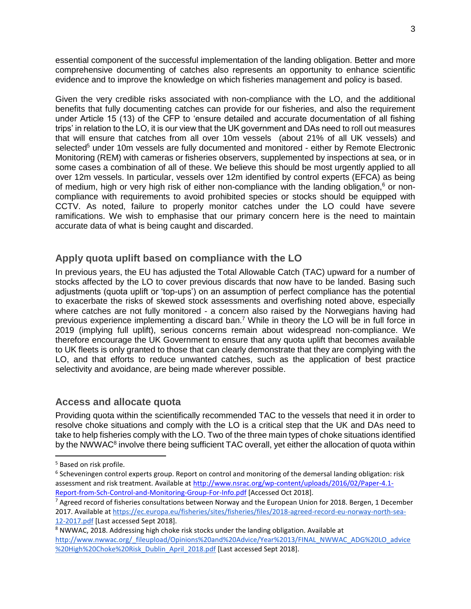essential component of the successful implementation of the landing obligation. Better and more comprehensive documenting of catches also represents an opportunity to enhance scientific evidence and to improve the knowledge on which fisheries management and policy is based.

Given the very credible risks associated with non-compliance with the LO, and the additional benefits that fully documenting catches can provide for our fisheries, and also the requirement under Article 15 (13) of the CFP to 'ensure detailed and accurate documentation of all fishing trips' in relation to the LO, it is our view that the UK government and DAs need to roll out measures that will ensure that catches from all over 10m vessels (about 21% of all UK vessels) and selected<sup>5</sup> under 10m vessels are fully documented and monitored - either by Remote Electronic Monitoring (REM) with cameras or fisheries observers, supplemented by inspections at sea, or in some cases a combination of all of these. We believe this should be most urgently applied to all over 12m vessels. In particular, vessels over 12m identified by control experts (EFCA) as being of medium, high or very high risk of either non-compliance with the landing obligation, $6$  or noncompliance with requirements to avoid prohibited species or stocks should be equipped with CCTV. As noted, failure to properly monitor catches under the LO could have severe ramifications. We wish to emphasise that our primary concern here is the need to maintain accurate data of what is being caught and discarded.

### **Apply quota uplift based on compliance with the LO**

In previous years, the EU has adjusted the Total Allowable Catch (TAC) upward for a number of stocks affected by the LO to cover previous discards that now have to be landed. Basing such adjustments (quota uplift or 'top-ups') on an assumption of perfect compliance has the potential to exacerbate the risks of skewed stock assessments and overfishing noted above, especially where catches are not fully monitored - a concern also raised by the Norwegians having had previous experience implementing a discard ban.<sup>7</sup> While in theory the LO will be in full force in 2019 (implying full uplift), serious concerns remain about widespread non-compliance. We therefore encourage the UK Government to ensure that any quota uplift that becomes available to UK fleets is only granted to those that can clearly demonstrate that they are complying with the LO, and that efforts to reduce unwanted catches, such as the application of best practice selectivity and avoidance, are being made wherever possible.

#### **Access and allocate quota**

Providing quota within the scientifically recommended TAC to the vessels that need it in order to resolve choke situations and comply with the LO is a critical step that the UK and DAs need to take to help fisheries comply with the LO. Two of the three main types of choke situations identified by the NWWAC<sup>8</sup> involve there being sufficient TAC overall, yet either the allocation of quota within

<sup>5</sup> Based on risk profile.

<sup>6</sup> Scheveningen control experts group. Report on control and monitoring of the demersal landing obligation: risk assessment and risk treatment. Available at [http://www.nsrac.org/wp-content/uploads/2016/02/Paper-4.1-](http://www.nsrac.org/wp-content/uploads/2016/02/Paper-4.1-Report-from-Sch-Control-and-Monitoring-Group-For-Info.pdf) [Report-from-Sch-Control-and-Monitoring-Group-For-Info.pdf](http://www.nsrac.org/wp-content/uploads/2016/02/Paper-4.1-Report-from-Sch-Control-and-Monitoring-Group-For-Info.pdf) [Accessed Oct 2018].

 $7$  Agreed record of fisheries consultations between Norway and the European Union for 2018. Bergen, 1 December 2017. Available at [https://ec.europa.eu/fisheries/sites/fisheries/files/2018-agreed-record-eu-norway-north-sea-](https://ec.europa.eu/fisheries/sites/fisheries/files/2018-agreed-record-eu-norway-north-sea-12-2017.pdf)[12-2017.pdf](https://ec.europa.eu/fisheries/sites/fisheries/files/2018-agreed-record-eu-norway-north-sea-12-2017.pdf) [Last accessed Sept 2018].

<sup>8</sup> NWWAC, 2018. Addressing high choke risk stocks under the landing obligation. Available a[t](http://www.nwwac.org/_fileupload/Opinions%20and%20Advice/Year%2013/FINAL_NWWAC_ADG%20LO_advice%20High%20Choke%20Risk_Dublin_April_2018.pdf) [http://www.nwwac.org/\\_fileupload/Opinions%20and%20Advice/Year%2013/FINAL\\_NWWAC\\_ADG%20LO\\_advice](http://www.nwwac.org/_fileupload/Opinions%20and%20Advice/Year%2013/FINAL_NWWAC_ADG%20LO_advice%20High%20Choke%20Risk_Dublin_April_2018.pdf) [%20High%20Choke%20Risk\\_Dublin\\_April\\_2018.pdf](http://www.nwwac.org/_fileupload/Opinions%20and%20Advice/Year%2013/FINAL_NWWAC_ADG%20LO_advice%20High%20Choke%20Risk_Dublin_April_2018.pdf) [Last accessed Sept 2018].